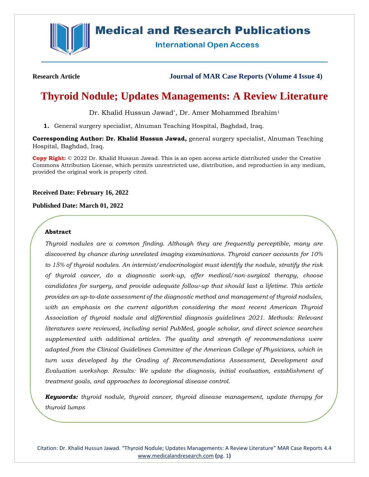

# **Medical and Research Publications**

**International Open Access** 

**Research Article Journal of MAR Case Reports (Volume 4 Issue 4)**

# **Thyroid Nodule; Updates Managements: A Review Literature**

Dr. Khalid Hussun Jawad\*, Dr. Amer Mohammed Ibrahim<sup>1</sup>

**1.** General surgery specialist, Alnuman Teaching Hospital, Baghdad, Iraq.

**Corresponding Author: Dr. Khalid Hussun Jawad,** general surgery specialist, Alnuman Teaching Hospital, Baghdad, Iraq.

**Copy Right:** © 2022 Dr. Khalid Hussun Jawad. This is an open access article distributed under the Creative Commons Attribution License, which permits unrestricted use, distribution, and reproduction in any medium, provided the original work is properly cited.

## **Received Date: February 16, 2022**

#### **Published Date: March 01, 2022**

## **Abstract**

*Thyroid nodules are a common finding. Although they are frequently perceptible, many are discovered by chance during unrelated imaging examinations. Thyroid cancer accounts for 10% to 15% of thyroid nodules. An internist/endocrinologist must identify the nodule, stratify the risk of thyroid cancer, do a diagnostic work-up, offer medical/non-surgical therapy, choose candidates for surgery, and provide adequate follow-up that should last a lifetime. This article provides an up-to-date assessment of the diagnostic method and management of thyroid nodules, with an emphasis on the current algorithm considering the most recent American Thyroid Association of thyroid nodule and differential diagnosis guidelines 2021. Methods: Relevant literatures were reviewed, including serial PubMed, google scholar, and direct science searches supplemented with additional articles. The quality and strength of recommendations were adapted from the Clinical Guidelines Committee of the American College of Physicians, which in turn was developed by the Grading of Recommendations Assessment, Development and Evaluation workshop. Results: We update the diagnosis, initial evaluation, establishment of treatment goals, and approaches to locoregional disease control.*

*Keywords: thyroid nodule, thyroid cancer, thyroid disease management, update therapy for thyroid lumps*

Citation: Dr. Khalid Hussun Jawad. "Thyroid Nodule; Updates Managements: A Review Literature" MAR Case Reports 4.4 [www.medicalandresearch.com](http://www.medicalandresearch.com/) **(**pg. 1**)**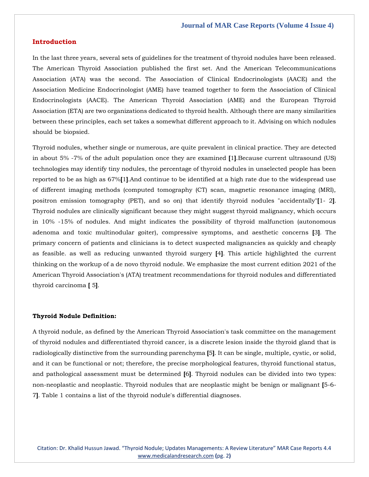## **Introduction**

In the last three years, several sets of guidelines for the treatment of thyroid nodules have been released. The American Thyroid Association published the first set. And the American Telecommunications Association (ATA) was the second. The Association of Clinical Endocrinologists (AACE) and the Association Medicine Endocrinologist (AME) have teamed together to form the Association of Clinical Endocrinologists (AACE). The American Thyroid Association (AME) and the European Thyroid Association (ETA) are two organizations dedicated to thyroid health. Although there are many similarities between these principles, each set takes a somewhat different approach to it. Advising on which nodules should be biopsied.

Thyroid nodules, whether single or numerous, are quite prevalent in clinical practice. They are detected in about 5% -7% of the adult population once they are examined **[**1**]**.Because current ultrasound (US) technologies may identify tiny nodules, the percentage of thyroid nodules in unselected people has been reported to be as high as 67%**[**1**]**.And continue to be identified at a high rate due to the widespread use of different imaging methods (computed tomography (CT) scan, magnetic resonance imaging (MRI), positron emission tomography (PET), and so on) that identify thyroid nodules "accidentally"**[**1- 2**]**. Thyroid nodules are clinically significant because they might suggest thyroid malignancy, which occurs in 10% -15% of nodules. And might indicates the possibility of thyroid malfunction (autonomous adenoma and toxic multinodular goiter), compressive symptoms, and aesthetic concerns **[**3**]**. The primary concern of patients and clinicians is to detect suspected malignancies as quickly and cheaply as feasible. as well as reducing unwanted thyroid surgery **[**4**]**. This article highlighted the current thinking on the workup of a de novo thyroid nodule. We emphasize the most current edition 2021 of the American Thyroid Association's (ATA) treatment recommendations for thyroid nodules and differentiated thyroid carcinoma **[** 5**]**.

#### **Thyroid Nodule Definition:**

A thyroid nodule, as defined by the American Thyroid Association's task committee on the management of thyroid nodules and differentiated thyroid cancer, is a discrete lesion inside the thyroid gland that is radiologically distinctive from the surrounding parenchyma **[**5**]**. It can be single, multiple, cystic, or solid, and it can be functional or not; therefore, the precise morphological features, thyroid functional status, and pathological assessment must be determined **[**6**]**. Thyroid nodules can be divided into two types: non-neoplastic and neoplastic. Thyroid nodules that are neoplastic might be benign or malignant **[**5-6- 7**]**. Table 1 contains a list of the thyroid nodule's differential diagnoses.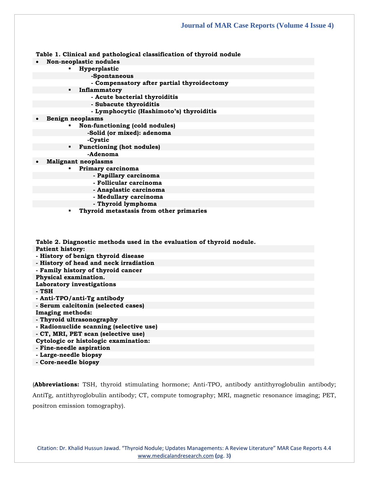**Table 1. Clinical and pathological classification of thyroid nodule**

- **Non-neoplastic nodules**
	- **Hyperplastic**
		- **-Spontaneous**
			- **- Compensatory after partial thyroidectomy**
	- **Inflammatory**
		- **- Acute bacterial thyroiditis**
		- **- Subacute thyroiditis**
		- **- Lymphocytic (Hashimoto's) thyroiditis**
- **Benign neoplasms**
	- **Non-functioning (cold nodules)**
		- **-Solid (or mixed): adenoma**
	- **-Cystic**
	- **Functioning (hot nodules)**
		- **-Adenoma**
- **Malignant neoplasms**
	- **Primary carcinoma**
		- **- Papillary carcinoma**
		- **- Follicular carcinoma**
		- **- Anaplastic carcinoma**
		- **- Medullary carcinoma**
		- **- Thyroid lymphoma**
		- **Thyroid metastasis from other primaries**

**Table 2. Diagnostic methods used in the evaluation of thyroid nodule.**

**Patient history:**

- **- History of benign thyroid disease**
- **- History of head and neck irradiation**
- **- Family history of thyroid cancer**
- **Physical examination.**
- **Laboratory investigations**
- **- TSH**
- **- Anti-TPO/anti-Tg antibody**
- **- Serum calcitonin (selected cases)**

**Imaging methods:**

- **- Thyroid ultrasonography**
- **- Radionuclide scanning (selective use)**
- **- CT, MRI, PET scan (selective use)**

**Cytologic or histologic examination:**

- **- Fine-needle aspiration**
- **- Large-needle biopsy**

**- Core-needle biopsy**

(**Abbreviations:** TSH, thyroid stimulating hormone; Anti-TPO, antibody antithyroglobulin antibody; AntiTg, antithyroglobulin antibody; CT, compute tomography; MRI, magnetic resonance imaging; PET, positron emission tomography).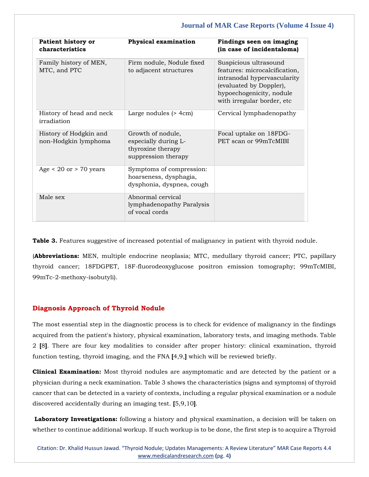| <b>Patient history or</b><br>characteristics   | Physical examination                                                                  | Findings seen on imaging<br>(in case of incidentaloma)                                                                                                                     |
|------------------------------------------------|---------------------------------------------------------------------------------------|----------------------------------------------------------------------------------------------------------------------------------------------------------------------------|
| Family history of MEN,<br>MTC, and PTC         | Firm nodule, Nodule fixed<br>to adjacent structures                                   | Suspicious ultrasound<br>features: microcalcification,<br>intranodal hypervascularity<br>(evaluated by Doppler),<br>hypoechogenicity, nodule<br>with irregular border, etc |
| History of head and neck<br>irradiation        | Large nodules $(> 4cm)$                                                               | Cervical lymphadenopathy                                                                                                                                                   |
| History of Hodgkin and<br>non-Hodgkin lymphoma | Growth of nodule,<br>especially during L-<br>thyroxine therapy<br>suppression therapy | Focal uptake on 18FDG-<br>PET scan or 99mTcMIBI                                                                                                                            |
| Age $< 20$ or $> 70$ years                     | Symptoms of compression:<br>hoarseness, dysphagia,<br>dysphonia, dyspnea, cough       |                                                                                                                                                                            |
| Male sex                                       | Abnormal cervical<br>lymphadenopathy Paralysis<br>of vocal cords                      |                                                                                                                                                                            |

**Table 3.** Features suggestive of increased potential of malignancy in patient with thyroid nodule.

(**Abbreviations:** MEN, multiple endocrine neoplasia; MTC, medullary thyroid cancer; PTC, papillary thyroid cancer; 18FDGPET, 18F-fluorodeoxyglucose positron emission tomography; 99mTcMIBI, 99mTc-2-methoxy-isobutyli).

## **Diagnosis Approach of Thyroid Nodule**

The most essential step in the diagnostic process is to check for evidence of malignancy in the findings acquired from the patient's history, physical examination, laboratory tests, and imaging methods. Table 2 **[**8**]**. There are four key modalities to consider after proper history: clinical examination, thyroid function testing, thyroid imaging, and the FNA **[**4,9,**]** which will be reviewed briefly.

**Clinical Examination:** Most thyroid nodules are asymptomatic and are detected by the patient or a physician during a neck examination. Table 3 shows the characteristics (signs and symptoms) of thyroid cancer that can be detected in a variety of contexts, including a regular physical examination or a nodule discovered accidentally during an imaging test. **[**5,9,10**]**.

**Laboratory Investigations:** following a history and physical examination, a decision will be taken on whether to continue additional workup. If such workup is to be done, the first step is to acquire a Thyroid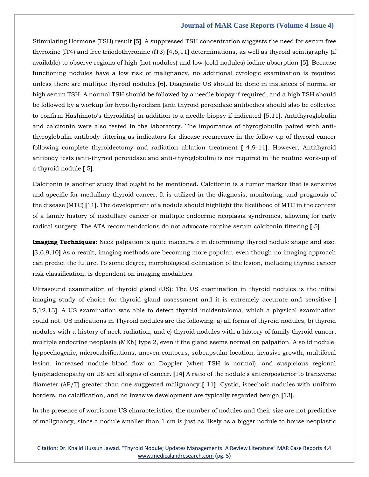Stimulating Hormone (TSH) result **[**5**]**. A suppressed TSH concentration suggests the need for serum free thyroxine (fT4) and free triiodothyronine (fT3) **[**4,6,11**]** determinations, as well as thyroid scintigraphy (if available) to observe regions of high (hot nodules) and low (cold nodules) iodine absorption **[**5**]**. Because functioning nodules have a low risk of malignancy, no additional cytologic examination is required unless there are multiple thyroid nodules **[**6**]**. Diagnostic US should be done in instances of normal or high serum TSH. A normal TSH should be followed by a needle biopsy if required, and a high TSH should be followed by a workup for hypothyroidism (anti thyroid peroxidase antibodies should also be collected to confirm Hashimoto's thyroiditis) in addition to a needle biopsy if indicated **[**5,11**]**. Antithyroglobulin and calcitonin were also tested in the laboratory. The importance of thyroglobulin paired with antithyroglobulin antibody tittering as indicators for disease recurrence in the follow-up of thyroid cancer following complete thyroidectomy and radiation ablation treatment **[** 4,9-11**]**. However, Antithyroid antibody tests (anti-thyroid peroxidase and anti-thyroglobulin) is not required in the routine work-up of a thyroid nodule **[** 5**]**.

Calcitonin is another study that ought to be mentioned. Calcitonin is a tumor marker that is sensitive and specific for medullary thyroid cancer. It is utilized in the diagnosis, monitoring, and prognosis of the disease (MTC) **[**11**]**. The development of a nodule should highlight the likelihood of MTC in the context of a family history of medullary cancer or multiple endocrine neoplasia syndromes, allowing for early radical surgery. The ATA recommendations do not advocate routine serum calcitonin tittering **[** 5**]**.

**Imaging Techniques:** Neck palpation is quite inaccurate in determining thyroid nodule shape and size. **[**3,6,9,10**]** As a result, imaging methods are becoming more popular, even though no imaging approach can predict the future. To some degree, morphological delineation of the lesion, including thyroid cancer risk classification, is dependent on imaging modalities.

Ultrasound examination of thyroid gland (US): The US examination in thyroid nodules is the initial imaging study of choice for thyroid gland assessment and it is extremely accurate and sensitive **[** 5,12,13**]**. A US examination was able to detect thyroid incidentaloma, which a physical examination could not. US indications in Thyroid nodules are the following: a) all forms of thyroid nodules, b) thyroid nodules with a history of neck radiation, and c) thyroid nodules with a history of family thyroid cancer, multiple endocrine neoplasia (MEN) type 2, even if the gland seems normal on palpation. A solid nodule, hypoechogenic, microcalcifications, uneven contours, subcapsular location, invasive growth, multifocal lesion, increased nodule blood flow on Doppler (when TSH is normal), and suspicious regional lymphadenopathy on US are all signs of cancer. **[**14**]** A ratio of the nodule's anteroposterior to transverse diameter (AP/T) greater than one suggested malignancy **[** 11**]**. Cystic, isoechoic nodules with uniform borders, no calcification, and no invasive development are typically regarded benign **[**13**]**.

In the presence of worrisome US characteristics, the number of nodules and their size are not predictive of malignancy, since a nodule smaller than 1 cm is just as likely as a bigger nodule to house neoplastic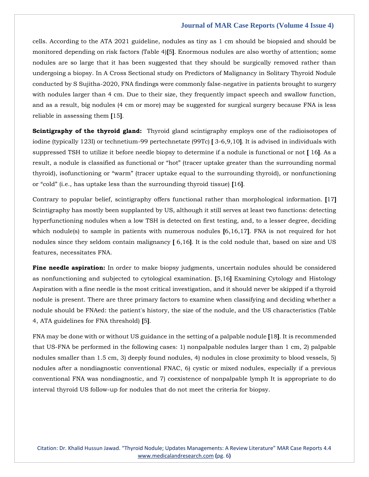cells. According to the ATA 2021 guideline, nodules as tiny as 1 cm should be biopsied and should be monitored depending on risk factors (Table 4)**[**5**]**. Enormous nodules are also worthy of attention; some nodules are so large that it has been suggested that they should be surgically removed rather than undergoing a biopsy. In A Cross Sectional study on Predictors of Malignancy in Solitary Thyroid Nodule conducted by S Sujitha-2020, FNA findings were commonly false-negative in patients brought to surgery with nodules larger than 4 cm. Due to their size, they frequently impact speech and swallow function, and as a result, big nodules (4 cm or more) may be suggested for surgical surgery because FNA is less reliable in assessing them **[**15**]**.

**Scintigraphy of the thyroid gland:** Thyroid gland scintigraphy employs one of the radioisotopes of iodine (typically 123I) or technetium-99 pertechnetate (99Tc) **[** 3-6,9,10**]**. It is advised in individuals with suppressed TSH to utilize it before needle biopsy to determine if a nodule is functional or not **[** 16**]**. As a result, a nodule is classified as functional or "hot" (tracer uptake greater than the surrounding normal thyroid), isofunctioning or "warm" (tracer uptake equal to the surrounding thyroid), or nonfunctioning or "cold" (i.e., has uptake less than the surrounding thyroid tissue) **[**16**]**.

Contrary to popular belief, scintigraphy offers functional rather than morphological information. **[**17**]** Scintigraphy has mostly been supplanted by US, although it still serves at least two functions: detecting hyperfunctioning nodules when a low TSH is detected on first testing, and, to a lesser degree, deciding which nodule(s) to sample in patients with numerous nodules **[**6,16,17**]**. FNA is not required for hot nodules since they seldom contain malignancy **[** 6,16**]**. It is the cold nodule that, based on size and US features, necessitates FNA.

**Fine needle aspiration:** In order to make biopsy judgments, uncertain nodules should be considered as nonfunctioning and subjected to cytological examination. **[**5,16**]** Examining Cytology and Histology Aspiration with a fine needle is the most critical investigation, and it should never be skipped if a thyroid nodule is present. There are three primary factors to examine when classifying and deciding whether a nodule should be FNAed: the patient's history, the size of the nodule, and the US characteristics (Table 4, ATA guidelines for FNA threshold) **[**5**]**.

FNA may be done with or without US guidance in the setting of a palpable nodule **[**18**]**. It is recommended that US-FNA be performed in the following cases: 1) nonpalpable nodules larger than 1 cm, 2) palpable nodules smaller than 1.5 cm, 3) deeply found nodules, 4) nodules in close proximity to blood vessels, 5) nodules after a nondiagnostic conventional FNAC, 6) cystic or mixed nodules, especially if a previous conventional FNA was nondiagnostic, and 7) coexistence of nonpalpable lymph It is appropriate to do interval thyroid US follow-up for nodules that do not meet the criteria for biopsy.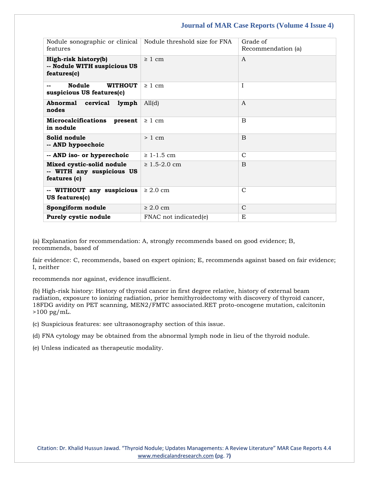| Nodule sonographic or clinical<br>features                             | Nodule threshold size for FNA | Grade of<br>Recommendation (a) |
|------------------------------------------------------------------------|-------------------------------|--------------------------------|
| High-risk history(b)<br>-- Nodule WITH suspicious US<br>features(c)    | $\geq 1$ cm                   | A                              |
| <b>Nodule</b><br><b>WITHOUT</b><br>suspicious US features(c)           | $\geq 1$ cm                   | T                              |
| Abnormal cervical lymph<br>nodes                                       | All(d)                        | A                              |
| <b>Microcalcifications</b><br>present<br>in nodule                     | $\geq 1$ cm                   | B                              |
| Solid nodule<br>-- AND hypoechoic                                      | $> 1$ cm                      | <sub>B</sub>                   |
| -- AND iso- or hyperechoic                                             | $\geq 1 - 1.5$ cm             | C                              |
| Mixed cystic-solid nodule<br>-- WITH any suspicious US<br>features (c) | $\geq 1.5 - 2.0$ cm           | $\overline{B}$                 |
| -- WITHOUT any suspicious<br><b>US</b> features(c)                     | $\geq 2.0$ cm                 | $\mathcal{C}$                  |
| Spongiform nodule                                                      | $\geq 2.0$ cm                 | $\mathsf{C}$                   |
| Purely cystic nodule                                                   | FNAC not indicated(e)         | E.                             |

(a) Explanation for recommendation: A, strongly recommends based on good evidence; B, recommends, based of

fair evidence: C, recommends, based on expert opinion; E, recommends against based on fair evidence; I, neither

recommends nor against, evidence insufficient.

(b) High-risk history: History of thyroid cancer in first degree relative, history of external beam radiation, exposure to ionizing radiation, prior hemithyroidectomy with discovery of thyroid cancer, 18FDG avidity on PET scanning, MEN2/FMTC associated.RET proto-oncogene mutation, calcitonin  $>100$  pg/mL.

(c) Suspicious features: see ultrasonography section of this issue.

(d) FNA cytology may be obtained from the abnormal lymph node in lieu of the thyroid nodule.

(e) Unless indicated as therapeutic modality.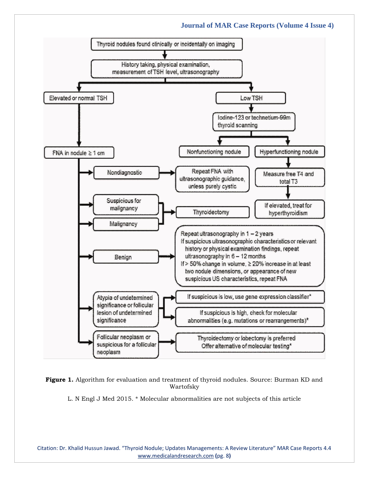

**Figure 1.** Algorithm for evaluation and treatment of thyroid nodules. Source: Burman KD and Wartofsky

L. N Engl J Med 2015. \* Molecular abnormalities are not subjects of this article

Citation: Dr. Khalid Hussun Jawad. "Thyroid Nodule; Updates Managements: A Review Literature" MAR Case Reports 4.4 [www.medicalandresearch.com](http://www.medicalandresearch.com/) **(**pg. 8**)**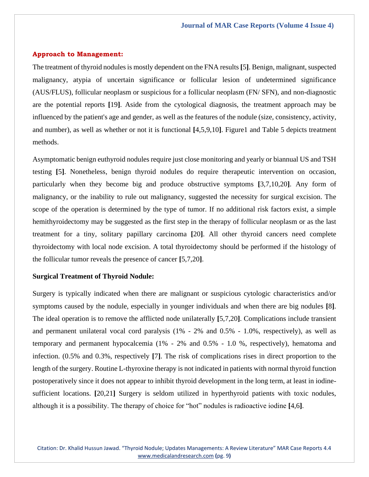## **Approach to Management:**

The treatment of thyroid nodules is mostly dependent on the FNA results **[**5**]**. Benign, malignant, suspected malignancy, atypia of uncertain significance or follicular lesion of undetermined significance (AUS/FLUS), follicular neoplasm or suspicious for a follicular neoplasm (FN/ SFN), and non-diagnostic are the potential reports **[**19**]**. Aside from the cytological diagnosis, the treatment approach may be influenced by the patient's age and gender, as well as the features of the nodule (size, consistency, activity, and number), as well as whether or not it is functional **[**4,5,9,10**]**. Figure1 and Table 5 depicts treatment methods.

Asymptomatic benign euthyroid nodules require just close monitoring and yearly or biannual US and TSH testing **[**5**]**. Nonetheless, benign thyroid nodules do require therapeutic intervention on occasion, particularly when they become big and produce obstructive symptoms **[**3,7,10,20**]**. Any form of malignancy, or the inability to rule out malignancy, suggested the necessity for surgical excision. The scope of the operation is determined by the type of tumor. If no additional risk factors exist, a simple hemithyroidectomy may be suggested as the first step in the therapy of follicular neoplasm or as the last treatment for a tiny, solitary papillary carcinoma **[**20**]**. All other thyroid cancers need complete thyroidectomy with local node excision. A total thyroidectomy should be performed if the histology of the follicular tumor reveals the presence of cancer **[**5,7,20**]**.

## **Surgical Treatment of Thyroid Nodule:**

Surgery is typically indicated when there are malignant or suspicious cytologic characteristics and/or symptoms caused by the nodule, especially in younger individuals and when there are big nodules **[**8**]**. The ideal operation is to remove the afflicted node unilaterally **[**5,7,20**]**. Complications include transient and permanent unilateral vocal cord paralysis (1% - 2% and 0.5% - 1.0%, respectively), as well as temporary and permanent hypocalcemia (1% - 2% and 0.5% - 1.0 %, respectively), hematoma and infection. (0.5% and 0.3%, respectively **[**7**]**. The risk of complications rises in direct proportion to the length of the surgery. Routine L-thyroxine therapy is not indicated in patients with normal thyroid function postoperatively since it does not appear to inhibit thyroid development in the long term, at least in iodinesufficient locations. **[**20,21**]** Surgery is seldom utilized in hyperthyroid patients with toxic nodules, although it is a possibility. The therapy of choice for "hot" nodules is radioactive iodine **[**4,6**]**.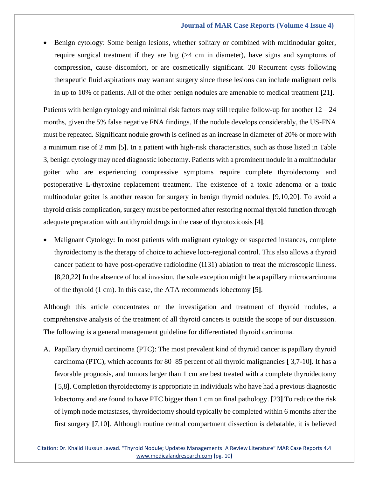• Benign cytology: Some benign lesions, whether solitary or combined with multinodular goiter, require surgical treatment if they are big  $(>= 4 \text{ cm})$  in diameter), have signs and symptoms of compression, cause discomfort, or are cosmetically significant. 20 Recurrent cysts following therapeutic fluid aspirations may warrant surgery since these lesions can include malignant cells in up to 10% of patients. All of the other benign nodules are amenable to medical treatment **[**21**]**.

Patients with benign cytology and minimal risk factors may still require follow-up for another  $12 - 24$ months, given the 5% false negative FNA findings. If the nodule develops considerably, the US-FNA must be repeated. Significant nodule growth is defined as an increase in diameter of 20% or more with a minimum rise of 2 mm **[**5**]**. In a patient with high-risk characteristics, such as those listed in Table 3, benign cytology may need diagnostic lobectomy. Patients with a prominent nodule in a multinodular goiter who are experiencing compressive symptoms require complete thyroidectomy and postoperative L-thyroxine replacement treatment. The existence of a toxic adenoma or a toxic multinodular goiter is another reason for surgery in benign thyroid nodules. **[**9,10,20**]**. To avoid a thyroid crisis complication, surgery must be performed after restoring normal thyroid function through adequate preparation with antithyroid drugs in the case of thyrotoxicosis **[**4**]**.

• Malignant Cytology: In most patients with malignant cytology or suspected instances, complete thyroidectomy is the therapy of choice to achieve loco-regional control. This also allows a thyroid cancer patient to have post-operative radioiodine (I131) ablation to treat the microscopic illness. **[**8,20,22**]** In the absence of local invasion, the sole exception might be a papillary microcarcinoma of the thyroid (1 cm). In this case, the ATA recommends lobectomy **[**5**]**.

Although this article concentrates on the investigation and treatment of thyroid nodules, a comprehensive analysis of the treatment of all thyroid cancers is outside the scope of our discussion. The following is a general management guideline for differentiated thyroid carcinoma.

A. Papillary thyroid carcinoma (PTC): The most prevalent kind of thyroid cancer is papillary thyroid carcinoma (PTC), which accounts for 80–85 percent of all thyroid malignancies **[** 3,7-10**]**. It has a favorable prognosis, and tumors larger than 1 cm are best treated with a complete thyroidectomy **[** 5,8**]**. Completion thyroidectomy is appropriate in individuals who have had a previous diagnostic lobectomy and are found to have PTC bigger than 1 cm on final pathology. **[**23**]** To reduce the risk of lymph node metastases, thyroidectomy should typically be completed within 6 months after the first surgery **[**7,10**]**. Although routine central compartment dissection is debatable, it is believed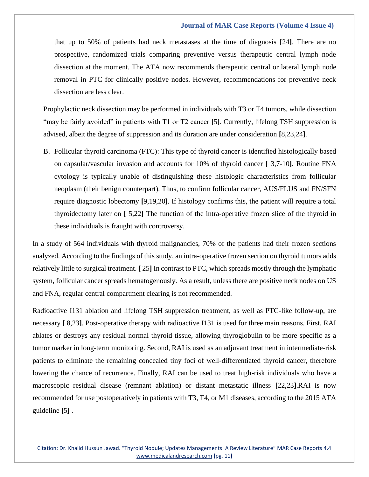that up to 50% of patients had neck metastases at the time of diagnosis **[**24**]**. There are no prospective, randomized trials comparing preventive versus therapeutic central lymph node dissection at the moment. The ATA now recommends therapeutic central or lateral lymph node removal in PTC for clinically positive nodes. However, recommendations for preventive neck dissection are less clear.

Prophylactic neck dissection may be performed in individuals with T3 or T4 tumors, while dissection "may be fairly avoided" in patients with T1 or T2 cancer **[**5**]**. Currently, lifelong TSH suppression is advised, albeit the degree of suppression and its duration are under consideration **[**8,23,24**]**.

B. Follicular thyroid carcinoma (FTC): This type of thyroid cancer is identified histologically based on capsular/vascular invasion and accounts for 10% of thyroid cancer **[** 3,7-10**]**. Routine FNA cytology is typically unable of distinguishing these histologic characteristics from follicular neoplasm (their benign counterpart). Thus, to confirm follicular cancer, AUS/FLUS and FN/SFN require diagnostic lobectomy **[**9,19,20**]**. If histology confirms this, the patient will require a total thyroidectomy later on **[** 5,22**]** The function of the intra-operative frozen slice of the thyroid in these individuals is fraught with controversy.

In a study of 564 individuals with thyroid malignancies, 70% of the patients had their frozen sections analyzed. According to the findings of this study, an intra-operative frozen section on thyroid tumors adds relatively little to surgical treatment. **[** 25**]** In contrast to PTC, which spreads mostly through the lymphatic system, follicular cancer spreads hematogenously. As a result, unless there are positive neck nodes on US and FNA, regular central compartment clearing is not recommended.

Radioactive I131 ablation and lifelong TSH suppression treatment, as well as PTC-like follow-up, are necessary **[** 8,23**]**. Post-operative therapy with radioactive I131 is used for three main reasons. First, RAI ablates or destroys any residual normal thyroid tissue, allowing thyroglobulin to be more specific as a tumor marker in long-term monitoring. Second, RAI is used as an adjuvant treatment in intermediate-risk patients to eliminate the remaining concealed tiny foci of well-differentiated thyroid cancer, therefore lowering the chance of recurrence. Finally, RAI can be used to treat high-risk individuals who have a macroscopic residual disease (remnant ablation) or distant metastatic illness **[**22,23**]**.RAI is now recommended for use postoperatively in patients with T3, T4, or M1 diseases, according to the 2015 ATA guideline **[**5**]** .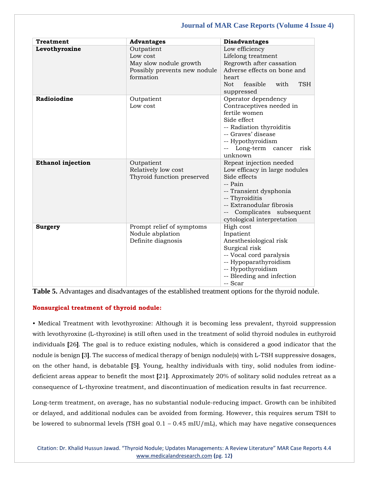| <b>Treatment</b>         | <b>Advantages</b>                                                                             | <b>Disadvantages</b>                                                                                                                                                                                                   |
|--------------------------|-----------------------------------------------------------------------------------------------|------------------------------------------------------------------------------------------------------------------------------------------------------------------------------------------------------------------------|
| Levothyroxine            | Outpatient<br>Low cost<br>May slow nodule growth<br>Possibly prevents new nodule<br>formation | Low efficiency<br>Lifelong treatment<br>Regrowth after cassation<br>Adverse effects on bone and<br>heart<br>feasible<br>Not.<br>with<br><b>TSH</b><br>suppressed                                                       |
| Radioiodine              | Outpatient<br>Low cost                                                                        | Operator dependency<br>Contraceptives needed in<br>fertile women<br>Side effect<br>-- Radiation thyroiditis<br>-- Graves' disease<br>-- Hypothyroidism<br>Long-term cancer<br>risk<br>$\qquad \qquad -$<br>unknown     |
| <b>Ethanol injection</b> | Outpatient<br>Relatively low cost<br>Thyroid function preserved                               | Repeat injection needed<br>Low efficacy in large nodules<br>Side effects<br>-- Pain<br>-- Transient dysphonia<br>-- Thyroiditis<br>-- Extranodular fibrosis<br>-- Complicates subsequent<br>cytological interpretation |
| <b>Surgery</b>           | Prompt relief of symptoms<br>Nodule abplation<br>Definite diagnosis                           | High cost<br>Inpatient<br>Anesthesiological risk<br>Surgical risk<br>-- Vocal cord paralysis<br>-- Hypoparathyroidism<br>-- Hypothyroidism<br>-- Bleeding and infection<br>-- Scar                                     |

**Table 5.** Advantages and disadvantages of the established treatment options for the thyroid nodule.

# **Nonsurgical treatment of thyroid nodule:**

• Medical Treatment with levothyroxine: Although it is becoming less prevalent, thyroid suppression with levothyroxine (L-thyroxine) is still often used in the treatment of solid thyroid nodules in euthyroid individuals **[**26**]**. The goal is to reduce existing nodules, which is considered a good indicator that the nodule is benign **[**3**]**. The success of medical therapy of benign nodule(s) with L-TSH suppressive dosages, on the other hand, is debatable **[**5**]**. Young, healthy individuals with tiny, solid nodules from iodinedeficient areas appear to benefit the most **[**21**]**. Approximately 20% of solitary solid nodules retreat as a consequence of L-thyroxine treatment, and discontinuation of medication results in fast recurrence.

Long-term treatment, on average, has no substantial nodule-reducing impact. Growth can be inhibited or delayed, and additional nodules can be avoided from forming. However, this requires serum TSH to be lowered to subnormal levels (TSH goal 0.1 – 0.45 mIU/mL), which may have negative consequences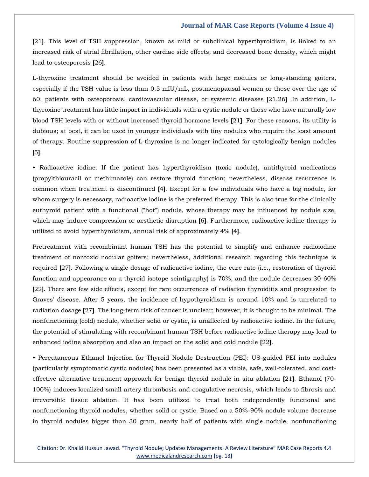**[**21**]**. This level of TSH suppression, known as mild or subclinical hyperthyroidism, is linked to an increased risk of atrial fibrillation, other cardiac side effects, and decreased bone density, which might lead to osteoporosis **[**26**]**.

L-thyroxine treatment should be avoided in patients with large nodules or long-standing goiters, especially if the TSH value is less than 0.5 mIU/mL, postmenopausal women or those over the age of 60, patients with osteoporosis, cardiovascular disease, or systemic diseases **[**21,26**]** .In addition, Lthyroxine treatment has little impact in individuals with a cystic nodule or those who have naturally low blood TSH levels with or without increased thyroid hormone levels **[**21**]**. For these reasons, its utility is dubious; at best, it can be used in younger individuals with tiny nodules who require the least amount of therapy. Routine suppression of L-thyroxine is no longer indicated for cytologically benign nodules **[**5**]**.

• Radioactive iodine: If the patient has hyperthyroidism (toxic nodule), antithyroid medications (propylthiouracil or methimazole) can restore thyroid function; nevertheless, disease recurrence is common when treatment is discontinued **[**4**]**. Except for a few individuals who have a big nodule, for whom surgery is necessary, radioactive iodine is the preferred therapy. This is also true for the clinically euthyroid patient with a functional ("hot") nodule, whose therapy may be influenced by nodule size, which may induce compression or aesthetic disruption **[**6**]**. Furthermore, radioactive iodine therapy is utilized to avoid hyperthyroidism, annual risk of approximately 4% **[**4**]**.

Pretreatment with recombinant human TSH has the potential to simplify and enhance radioiodine treatment of nontoxic nodular goiters; nevertheless, additional research regarding this technique is required **[**27**]**. Following a single dosage of radioactive iodine, the cure rate (i.e., restoration of thyroid function and appearance on a thyroid isotope scintigraphy) is 70%, and the nodule decreases 30-60% **[**22**]**. There are few side effects, except for rare occurrences of radiation thyroiditis and progression to Graves' disease. After 5 years, the incidence of hypothyroidism is around 10% and is unrelated to radiation dosage **[**27**]**. The long-term risk of cancer is unclear; however, it is thought to be minimal. The nonfunctioning (cold) nodule, whether solid or cystic, is unaffected by radioactive iodine. In the future, the potential of stimulating with recombinant human TSH before radioactive iodine therapy may lead to enhanced iodine absorption and also an impact on the solid and cold nodule **[**22**]**.

• Percutaneous Ethanol Injection for Thyroid Nodule Destruction (PEI): US-guided PEI into nodules (particularly symptomatic cystic nodules) has been presented as a viable, safe, well-tolerated, and costeffective alternative treatment approach for benign thyroid nodule in situ ablation **[**21**]**. Ethanol (70- 100%) induces localized small artery thrombosis and coagulative necrosis, which leads to fibrosis and irreversible tissue ablation. It has been utilized to treat both independently functional and nonfunctioning thyroid nodules, whether solid or cystic. Based on a 50%-90% nodule volume decrease in thyroid nodules bigger than 30 gram, nearly half of patients with single nodule, nonfunctioning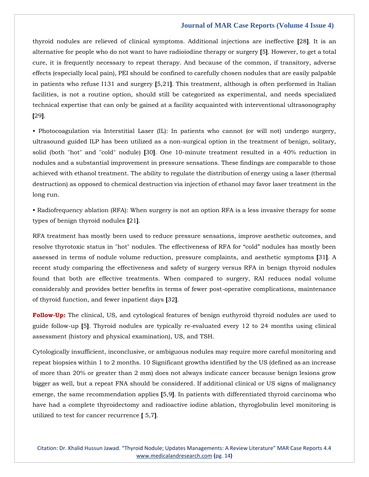thyroid nodules are relieved of clinical symptoms. Additional injections are ineffective **[**28**]**. It is an alternative for people who do not want to have radioiodine therapy or surgery **[**5**]**. However, to get a total cure, it is frequently necessary to repeat therapy. And because of the common, if transitory, adverse effects (especially local pain), PEI should be confined to carefully chosen nodules that are easily palpable in patients who refuse I131 and surgery **[**5,21**]**. This treatment, although is often performed in Italian facilities, is not a routine option, should still be categorized as experimental, and needs specialized technical expertise that can only be gained at a facility acquainted with interventional ultrasonography **[**29**]**.

• Photocoagulation via Interstitial Laser (IL): In patients who cannot (or will not) undergo surgery, ultrasound guided ILP has been utilized as a non-surgical option in the treatment of benign, solitary, solid (both "hot" and "cold" nodule) **[**30**]**. One 10-minute treatment resulted in a 40% reduction in nodules and a substantial improvement in pressure sensations. These findings are comparable to those achieved with ethanol treatment. The ability to regulate the distribution of energy using a laser (thermal destruction) as opposed to chemical destruction via injection of ethanol may favor laser treatment in the long run.

• Radiofrequency ablation (RFA): When surgery is not an option RFA is a less invasive therapy for some types of benign thyroid nodules **[**21**]**.

RFA treatment has mostly been used to reduce pressure sensations, improve aesthetic outcomes, and resolve thyrotoxic status in "hot" nodules. The effectiveness of RFA for "cold" nodules has mostly been assessed in terms of nodule volume reduction, pressure complaints, and aesthetic symptoms **[**31**]**. A recent study comparing the effectiveness and safety of surgery versus RFA in benign thyroid nodules found that both are effective treatments. When compared to surgery, RAI reduces nodal volume considerably and provides better benefits in terms of fewer post-operative complications, maintenance of thyroid function, and fewer inpatient days **[**32**]**.

**Follow-Up:** The clinical, US, and cytological features of benign euthyroid thyroid nodules are used to guide follow-up **[**5**]**. Thyroid nodules are typically re-evaluated every 12 to 24 months using clinical assessment (history and physical examination), US, and TSH.

Cytologically insufficient, inconclusive, or ambiguous nodules may require more careful monitoring and repeat biopsies within 1 to 2 months. 10 Significant growths identified by the US (defined as an increase of more than 20% or greater than 2 mm) does not always indicate cancer because benign lesions grow bigger as well, but a repeat FNA should be considered. If additional clinical or US signs of malignancy emerge, the same recommendation applies **[**5,9**]**. In patients with differentiated thyroid carcinoma who have had a complete thyroidectomy and radioactive iodine ablation, thyroglobulin level monitoring is utilized to test for cancer recurrence **[** 5,7**]**.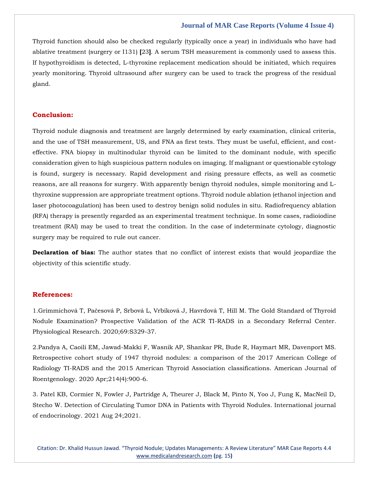Thyroid function should also be checked regularly (typically once a year) in individuals who have had ablative treatment (surgery or I131) **[**23**]**. A serum TSH measurement is commonly used to assess this. If hypothyroidism is detected, L-thyroxine replacement medication should be initiated, which requires yearly monitoring. Thyroid ultrasound after surgery can be used to track the progress of the residual gland.

#### **Conclusion:**

Thyroid nodule diagnosis and treatment are largely determined by early examination, clinical criteria, and the use of TSH measurement, US, and FNA as first tests. They must be useful, efficient, and costeffective. FNA biopsy in multinodular thyroid can be limited to the dominant nodule, with specific consideration given to high suspicious pattern nodules on imaging. If malignant or questionable cytology is found, surgery is necessary. Rapid development and rising pressure effects, as well as cosmetic reasons, are all reasons for surgery. With apparently benign thyroid nodules, simple monitoring and Lthyroxine suppression are appropriate treatment options. Thyroid nodule ablation (ethanol injection and laser photocoagulation) has been used to destroy benign solid nodules in situ. Radiofrequency ablation (RFA) therapy is presently regarded as an experimental treatment technique. In some cases, radioiodine treatment (RAI) may be used to treat the condition. In the case of indeterminate cytology, diagnostic surgery may be required to rule out cancer.

**Declaration of bias:** The author states that no conflict of interest exists that would jeopardize the objectivity of this scientific study.

## **References:**

1.Grimmichová T, Pačesová P, Srbová L, Vrbíková J, Havrdová T, Hill M. The Gold Standard of Thyroid Nodule Examination? Prospective Validation of the ACR TI-RADS in a Secondary Referral Center. Physiological Research. 2020;69:S329-37.

2.Pandya A, Caoili EM, Jawad-Makki F, Wasnik AP, Shankar PR, Bude R, Haymart MR, Davenport MS. Retrospective cohort study of 1947 thyroid nodules: a comparison of the 2017 American College of Radiology TI-RADS and the 2015 American Thyroid Association classifications. American Journal of Roentgenology. 2020 Apr;214(4):900-6.

3. Patel KB, Cormier N, Fowler J, Partridge A, Theurer J, Black M, Pinto N, Yoo J, Fung K, MacNeil D, Stecho W. Detection of Circulating Tumor DNA in Patients with Thyroid Nodules. International journal of endocrinology. 2021 Aug 24;2021.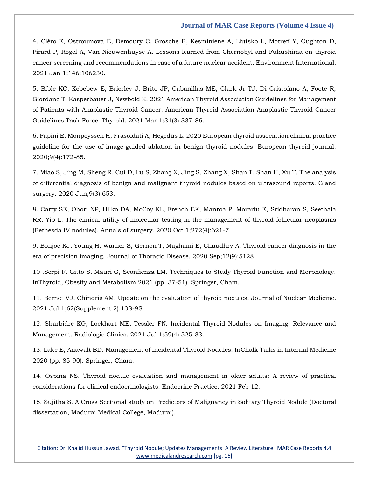4. Cléro E, Ostroumova E, Demoury C, Grosche B, Kesminiene A, Liutsko L, Motreff Y, Oughton D, Pirard P, Rogel A, Van Nieuwenhuyse A. Lessons learned from Chernobyl and Fukushima on thyroid cancer screening and recommendations in case of a future nuclear accident. Environment International. 2021 Jan 1;146:106230.

5. Bible KC, Kebebew E, Brierley J, Brito JP, Cabanillas ME, Clark Jr TJ, Di Cristofano A, Foote R, Giordano T, Kasperbauer J, Newbold K. 2021 American Thyroid Association Guidelines for Management of Patients with Anaplastic Thyroid Cancer: American Thyroid Association Anaplastic Thyroid Cancer Guidelines Task Force. Thyroid. 2021 Mar 1;31(3):337-86.

6. Papini E, Monpeyssen H, Frasoldati A, Hegedüs L. 2020 European thyroid association clinical practice guideline for the use of image-guided ablation in benign thyroid nodules. European thyroid journal. 2020;9(4):172-85.

7. Miao S, Jing M, Sheng R, Cui D, Lu S, Zhang X, Jing S, Zhang X, Shan T, Shan H, Xu T. The analysis of differential diagnosis of benign and malignant thyroid nodules based on ultrasound reports. Gland surgery. 2020 Jun;9(3):653.

8. Carty SE, Ohori NP, Hilko DA, McCoy KL, French EK, Manroa P, Morariu E, Sridharan S, Seethala RR, Yip L. The clinical utility of molecular testing in the management of thyroid follicular neoplasms (Bethesda IV nodules). Annals of surgery. 2020 Oct 1;272(4):621-7.

9. Bonjoc KJ, Young H, Warner S, Gernon T, Maghami E, Chaudhry A. Thyroid cancer diagnosis in the era of precision imaging. Journal of Thoracic Disease. 2020 Sep;12(9):5128

10 .Serpi F, Gitto S, Mauri G, Sconfienza LM. Techniques to Study Thyroid Function and Morphology. InThyroid, Obesity and Metabolism 2021 (pp. 37-51). Springer, Cham.

11. Bernet VJ, Chindris AM. Update on the evaluation of thyroid nodules. Journal of Nuclear Medicine. 2021 Jul 1;62(Supplement 2):13S-9S.

12. Sharbidre KG, Lockhart ME, Tessler FN. Incidental Thyroid Nodules on Imaging: Relevance and Management. Radiologic Clinics. 2021 Jul 1;59(4):525-33.

13. Lake E, Anawalt BD. Management of Incidental Thyroid Nodules. InChalk Talks in Internal Medicine 2020 (pp. 85-90). Springer, Cham.

14. Ospina NS. Thyroid nodule evaluation and management in older adults: A review of practical considerations for clinical endocrinologists. Endocrine Practice. 2021 Feb 12.

15. Sujitha S. A Cross Sectional study on Predictors of Malignancy in Solitary Thyroid Nodule (Doctoral dissertation, Madurai Medical College, Madurai).

Citation: Dr. Khalid Hussun Jawad. "Thyroid Nodule; Updates Managements: A Review Literature" MAR Case Reports 4.4 [www.medicalandresearch.com](http://www.medicalandresearch.com/) **(**pg. 16**)**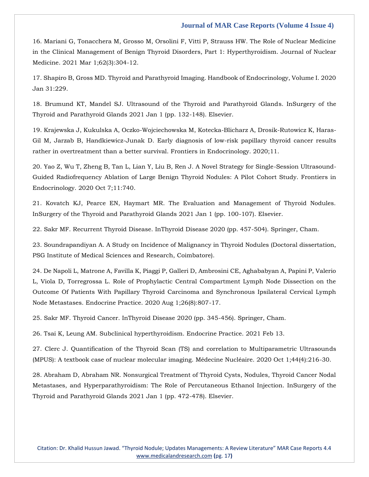16. Mariani G, Tonacchera M, Grosso M, Orsolini F, Vitti P, Strauss HW. The Role of Nuclear Medicine in the Clinical Management of Benign Thyroid Disorders, Part 1: Hyperthyroidism. Journal of Nuclear Medicine. 2021 Mar 1;62(3):304-12.

17. Shapiro B, Gross MD. Thyroid and Parathyroid Imaging. Handbook of Endocrinology, Volume I. 2020 Jan 31:229.

18. Brumund KT, Mandel SJ. Ultrasound of the Thyroid and Parathyroid Glands. InSurgery of the Thyroid and Parathyroid Glands 2021 Jan 1 (pp. 132-148). Elsevier.

19. Krajewska J, Kukulska A, Oczko-Wojciechowska M, Kotecka-Blicharz A, Drosik-Rutowicz K, Haras-Gil M, Jarzab B, Handkiewicz-Junak D. Early diagnosis of low-risk papillary thyroid cancer results rather in overtreatment than a better survival. Frontiers in Endocrinology. 2020;11.

20. Yao Z, Wu T, Zheng B, Tan L, Lian Y, Liu B, Ren J. A Novel Strategy for Single-Session Ultrasound-Guided Radiofrequency Ablation of Large Benign Thyroid Nodules: A Pilot Cohort Study. Frontiers in Endocrinology. 2020 Oct 7;11:740.

21. Kovatch KJ, Pearce EN, Haymart MR. The Evaluation and Management of Thyroid Nodules. InSurgery of the Thyroid and Parathyroid Glands 2021 Jan 1 (pp. 100-107). Elsevier.

22. Sakr MF. Recurrent Thyroid Disease. InThyroid Disease 2020 (pp. 457-504). Springer, Cham.

23. Soundrapandiyan A. A Study on Incidence of Malignancy in Thyroid Nodules (Doctoral dissertation, PSG Institute of Medical Sciences and Research, Coimbatore).

24. De Napoli L, Matrone A, Favilla K, Piaggi P, Galleri D, Ambrosini CE, Aghababyan A, Papini P, Valerio L, Viola D, Torregrossa L. Role of Prophylactic Central Compartment Lymph Node Dissection on the Outcome Of Patients With Papillary Thyroid Carcinoma and Synchronous Ipsilateral Cervical Lymph Node Metastases. Endocrine Practice. 2020 Aug 1;26(8):807-17.

25. Sakr MF. Thyroid Cancer. InThyroid Disease 2020 (pp. 345-456). Springer, Cham.

26. Tsai K, Leung AM. Subclinical hyperthyroidism. Endocrine Practice. 2021 Feb 13.

27. Clerc J. Quantification of the Thyroid Scan (TS) and correlation to Multiparametric Ultrasounds (MPUS): A textbook case of nuclear molecular imaging. Médecine Nucléaire. 2020 Oct 1;44(4):216-30.

28. Abraham D, Abraham NR. Nonsurgical Treatment of Thyroid Cysts, Nodules, Thyroid Cancer Nodal Metastases, and Hyperparathyroidism: The Role of Percutaneous Ethanol Injection. InSurgery of the Thyroid and Parathyroid Glands 2021 Jan 1 (pp. 472-478). Elsevier.